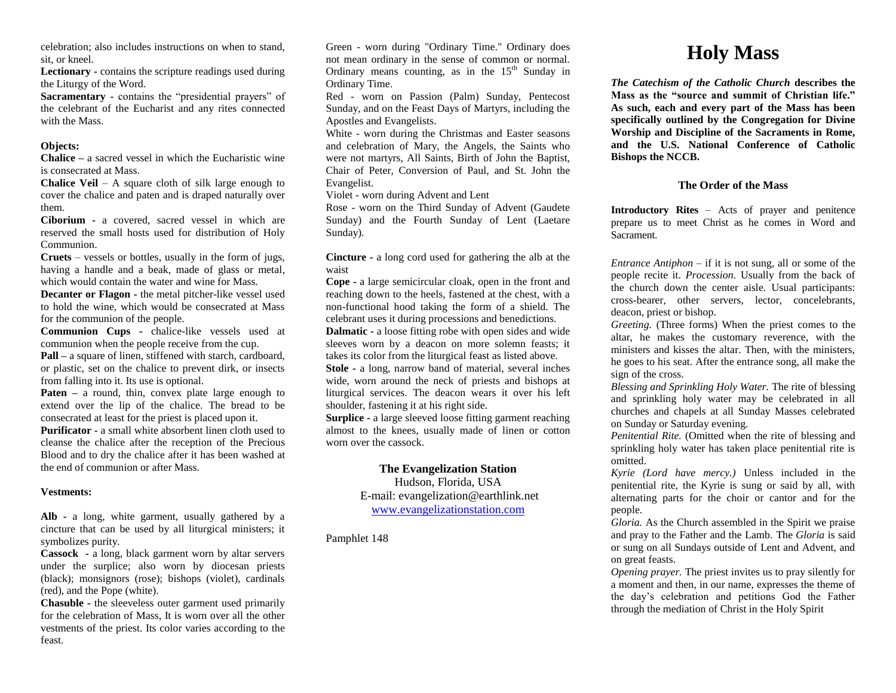celebration; also includes instructions on when to stand, sit, or kneel.

**Lectionary -** contains the scripture readings used during the Liturgy of the Word.

**Sacramentary -** contains the "presidential prayers" of the celebrant of the Eucharist and any rites connected with the Mass.

## **Objects:**

**Chalice –** a sacred vessel in which the Eucharistic wine is consecrated at Mass.

**Chalice Veil** – A square cloth of silk large enough to cover the chalice and paten and is draped naturally over them.

**Ciborium -** a covered, sacred vessel in which are reserved the small hosts used for distribution of Holy Communion.

**Cruets** – vessels or bottles, usually in the form of jugs, having a handle and a beak, made of glass or metal, which would contain the water and wine for Mass.

**Decanter or Flagon -** the metal pitcher-like vessel used to hold the wine, which would be consecrated at Mass for the communion of the people.

**Communion Cups -** chalice-like vessels used at communion when the people receive from the cup.

**Pall –** a square of linen, stiffened with starch, cardboard, or plastic, set on the chalice to prevent dirk, or insects from falling into it. Its use is optional.

**Paten** – a round, thin, convex plate large enough to extend over the lip of the chalice. The bread to be consecrated at least for the priest is placed upon it.

**Purificator -** a small white absorbent linen cloth used to cleanse the chalice after the reception of the Precious Blood and to dry the chalice after it has been washed at the end of communion or after Mass.

## **Vestments:**

**Alb -** a long, white garment, usually gathered by a cincture that can be used by all liturgical ministers; it symbolizes purity.

**Cassock -** a long, black garment worn by altar servers under the surplice; also worn by diocesan priests (black); monsignors (rose); bishops (violet), cardinals (red), and the Pope (white).

**Chasuble -** the sleeveless outer garment used primarily for the celebration of Mass, It is worn over all the other vestments of the priest. Its color varies according to the feast.

Green - worn during "Ordinary Time." Ordinary does not mean ordinary in the sense of common or normal. Ordinary means counting, as in the  $15<sup>th</sup>$  Sunday in Ordinary Time.

Red - worn on Passion (Palm) Sunday, Pentecost Sunday, and on the Feast Days of Martyrs, including the Apostles and Evangelists.

White - worn during the Christmas and Easter seasons and celebration of Mary, the Angels, the Saints who were not martyrs, All Saints, Birth of John the Baptist, Chair of Peter, Conversion of Paul, and St. John the Evangelist.

Violet - worn during Advent and Lent

Rose - worn on the Third Sunday of Advent (Gaudete Sunday) and the Fourth Sunday of Lent (Laetare Sunday).

**Cincture -** a long cord used for gathering the alb at the waist

**Cope -** a large semicircular cloak, open in the front and reaching down to the heels, fastened at the chest, with a non-functional hood taking the form of a shield. The celebrant uses it during processions and benedictions.

**Dalmatic -** a loose fitting robe with open sides and wide sleeves worn by a deacon on more solemn feasts; it takes its color from the liturgical feast as listed above.

**Stole -** a long, narrow band of material, several inches wide, worn around the neck of priests and bishops at liturgical services. The deacon wears it over his left shoulder, fastening it at his right side.

**Surplice -** a large sleeved loose fitting garment reaching almost to the knees, usually made of linen or cotton worn over the cassock.

# **The Evangelization Station**

Hudson, Florida, USA E-mail: evangelization@earthlink.net [www.evangelizationstation.com](http://www.pjpiisoe.org/)

Pamphlet 148

# **Holy Mass**

*The Catechism of the Catholic Church* **describes the Mass as the "source and summit of Christian life." As such, each and every part of the Mass has been specifically outlined by the Congregation for Divine Worship and Discipline of the Sacraments in Rome, and the U.S. National Conference of Catholic Bishops the NCCB.**

# **The Order of the Mass**

**Introductory Rites** – Acts of prayer and penitence prepare us to meet Christ as he comes in Word and Sacrament.

*Entrance Antiphon –* if it is not sung, all or some of the people recite it. *Procession.* Usually from the back of the church down the center aisle. Usual participants: cross-bearer, other servers, lector, concelebrants, deacon, priest or bishop.

*Greeting.* (Three forms) When the priest comes to the altar, he makes the customary reverence, with the ministers and kisses the altar. Then, with the ministers, he goes to his seat. After the entrance song, all make the sign of the cross.

*Blessing and Sprinkling Holy Water.* The rite of blessing and sprinkling holy water may be celebrated in all churches and chapels at all Sunday Masses celebrated on Sunday or Saturday evening.

*Penitential Rite.* (Omitted when the rite of blessing and sprinkling holy water has taken place penitential rite is omitted.

*Kyrie (Lord have mercy.)* Unless included in the penitential rite, the Kyrie is sung or said by all, with alternating parts for the choir or cantor and for the people.

*Gloria.* As the Church assembled in the Spirit we praise and pray to the Father and the Lamb. The *Gloria* is said or sung on all Sundays outside of Lent and Advent, and on great feasts.

*Opening prayer.* The priest invites us to pray silently for a moment and then, in our name, expresses the theme of the day's celebration and petitions God the Father through the mediation of Christ in the Holy Spirit